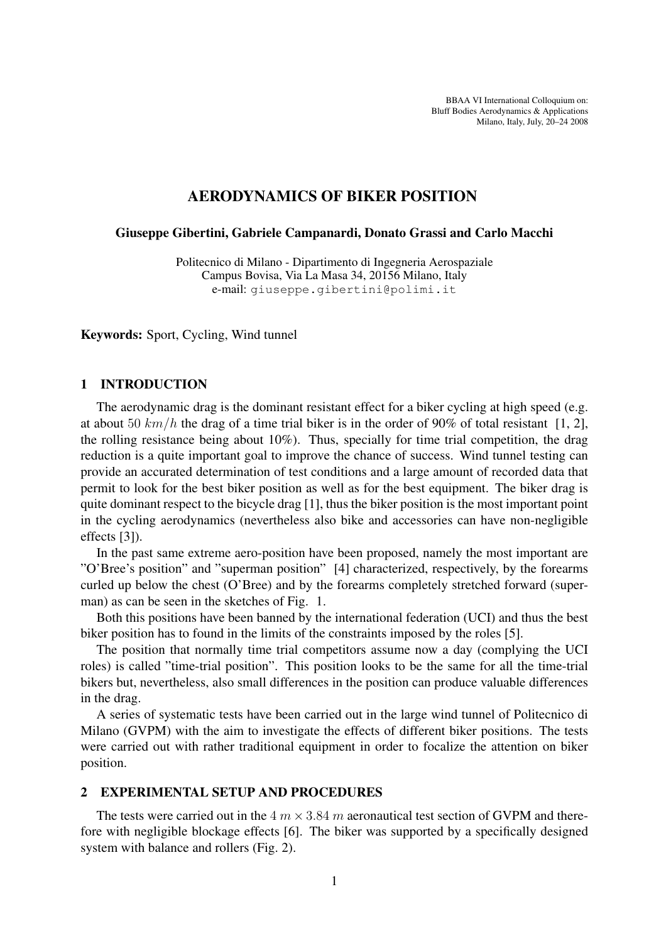BBAA VI International Colloquium on: Bluff Bodies Aerodynamics & Applications Milano, Italy, July, 20–24 2008

# AERODYNAMICS OF BIKER POSITION

Giuseppe Gibertini, Gabriele Campanardi, Donato Grassi and Carlo Macchi

Politecnico di Milano - Dipartimento di Ingegneria Aerospaziale Campus Bovisa, Via La Masa 34, 20156 Milano, Italy e-mail: giuseppe.gibertini@polimi.it

Keywords: Sport, Cycling, Wind tunnel

### 1 INTRODUCTION

The aerodynamic drag is the dominant resistant effect for a biker cycling at high speed (e.g. at about 50  $km/h$  the drag of a time trial biker is in the order of 90% of total resistant [1, 2]. the rolling resistance being about 10%). Thus, specially for time trial competition, the drag reduction is a quite important goal to improve the chance of success. Wind tunnel testing can provide an accurated determination of test conditions and a large amount of recorded data that permit to look for the best biker position as well as for the best equipment. The biker drag is quite dominant respect to the bicycle drag [1], thus the biker position is the most important point in the cycling aerodynamics (nevertheless also bike and accessories can have non-negligible effects [3]).

In the past same extreme aero-position have been proposed, namely the most important are "O'Bree's position" and "superman position" [4] characterized, respectively, by the forearms curled up below the chest (O'Bree) and by the forearms completely stretched forward (superman) as can be seen in the sketches of Fig. 1.

Both this positions have been banned by the international federation (UCI) and thus the best biker position has to found in the limits of the constraints imposed by the roles [5].

The position that normally time trial competitors assume now a day (complying the UCI roles) is called "time-trial position". This position looks to be the same for all the time-trial bikers but, nevertheless, also small differences in the position can produce valuable differences in the drag.

A series of systematic tests have been carried out in the large wind tunnel of Politecnico di Milano (GVPM) with the aim to investigate the effects of different biker positions. The tests were carried out with rather traditional equipment in order to focalize the attention on biker position.

#### 2 EXPERIMENTAL SETUP AND PROCEDURES

The tests were carried out in the  $4 \, m \times 3.84 \, m$  aeronautical test section of GVPM and therefore with negligible blockage effects [6]. The biker was supported by a specifically designed system with balance and rollers (Fig. 2).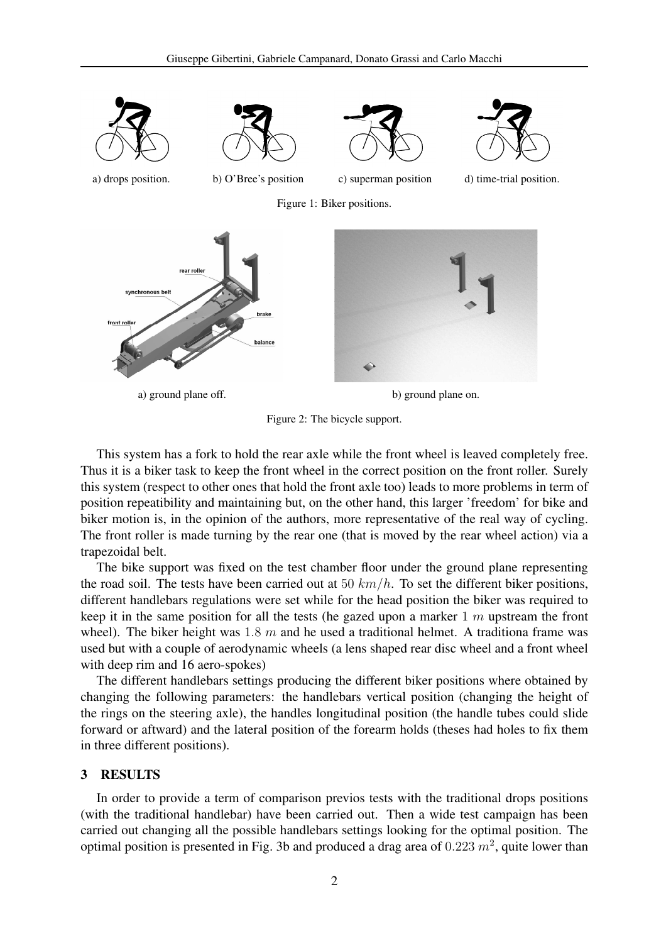

Figure 2: The bicycle support.

This system has a fork to hold the rear axle while the front wheel is leaved completely free. Thus it is a biker task to keep the front wheel in the correct position on the front roller. Surely this system (respect to other ones that hold the front axle too) leads to more problems in term of position repeatibility and maintaining but, on the other hand, this larger 'freedom' for bike and biker motion is, in the opinion of the authors, more representative of the real way of cycling. The front roller is made turning by the rear one (that is moved by the rear wheel action) via a trapezoidal belt.

The bike support was fixed on the test chamber floor under the ground plane representing the road soil. The tests have been carried out at 50  $km/h$ . To set the different biker positions, different handlebars regulations were set while for the head position the biker was required to keep it in the same position for all the tests (he gazed upon a marker  $1 \, m$  upstream the front wheel). The biker height was  $1.8 \text{ m}$  and he used a traditional helmet. A traditiona frame was used but with a couple of aerodynamic wheels (a lens shaped rear disc wheel and a front wheel with deep rim and 16 aero-spokes)

The different handlebars settings producing the different biker positions where obtained by changing the following parameters: the handlebars vertical position (changing the height of the rings on the steering axle), the handles longitudinal position (the handle tubes could slide forward or aftward) and the lateral position of the forearm holds (theses had holes to fix them in three different positions).

#### 3 RESULTS

In order to provide a term of comparison previos tests with the traditional drops positions (with the traditional handlebar) have been carried out. Then a wide test campaign has been carried out changing all the possible handlebars settings looking for the optimal position. The optimal position is presented in Fig. 3b and produced a drag area of  $0.223$   $m^2$ , quite lower than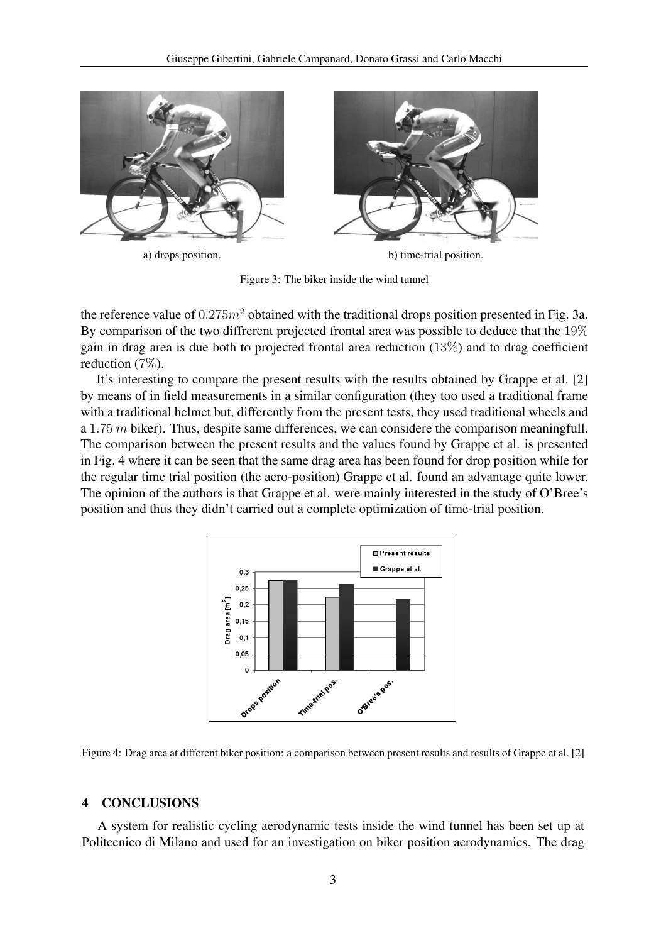

Figure 3: The biker inside the wind tunnel

the reference value of  $0.275m^2$  obtained with the traditional drops position presented in Fig. 3a. By comparison of the two diffrerent projected frontal area was possible to deduce that the 19% gain in drag area is due both to projected frontal area reduction  $(13\%)$  and to drag coefficient reduction (7%).

It's interesting to compare the present results with the results obtained by Grappe et al. [2] by means of in field measurements in a similar configuration (they too used a traditional frame with a traditional helmet but, differently from the present tests, they used traditional wheels and a 1.75 m biker). Thus, despite same differences, we can considere the comparison meaningfull. The comparison between the present results and the values found by Grappe et al. is presented in Fig. 4 where it can be seen that the same drag area has been found for drop position while for the regular time trial position (the aero-position) Grappe et al. found an advantage quite lower. The opinion of the authors is that Grappe et al. were mainly interested in the study of O'Bree's position and thus they didn't carried out a complete optimization of time-trial position.



Figure 4: Drag area at different biker position: a comparison between present results and results of Grappe et al. [2]

## 4 CONCLUSIONS

A system for realistic cycling aerodynamic tests inside the wind tunnel has been set up at Politecnico di Milano and used for an investigation on biker position aerodynamics. The drag